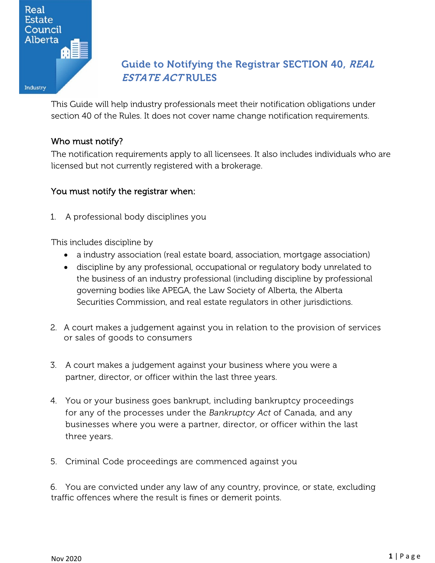

# Guide to Notifying the Registrar SECTION 40, REAL ESTATE ACT RULES

This Guide will help industry professionals meet their notification obligations under section 40 of the Rules. It does not cover name change notification requirements.

# Who must notify?

The notification requirements apply to all licensees. It also includes individuals who are licensed but not currently registered with a brokerage.

# You must notify the registrar when:

1. A professional body disciplines you

This includes discipline by

- a industry association (real estate board, association, mortgage association)
- discipline by any professional, occupational or regulatory body unrelated to the business of an industry professional (including discipline by professional governing bodies like APEGA, the Law Society of Alberta, the Alberta Securities Commission, and real estate regulators in other jurisdictions.
- 2. A court makes a judgement against you in relation to the provision of services or sales of goods to consumers
- 3. A court makes a judgement against your business where you were a partner, director, or officer within the last three years.
- 4. You or your business goes bankrupt, including bankruptcy proceedings for any of the processes under the *Bankruptcy Act* of Canada, and any businesses where you were a partner, director, or officer within the last three years.
- 5. Criminal Code proceedings are commenced against you

6. You are convicted under any law of any country, province, or state, excluding traffic offences where the result is fines or demerit points.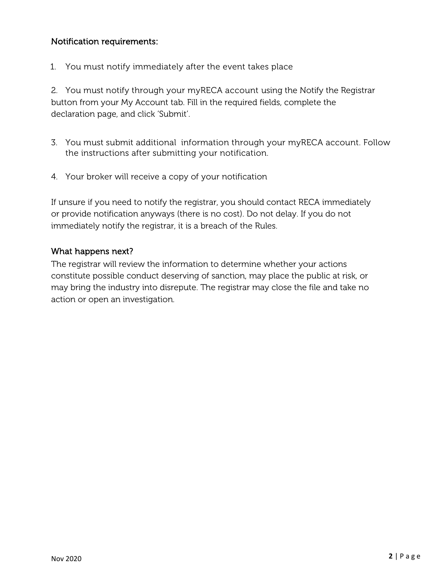## Notification requirements:

1. You must notify immediately after the event takes place

2. You must notify through your myRECA account using the Notify the Registrar button from your My Account tab. Fill in the required fields, complete the declaration page, and click 'Submit'.

- 3. You must submit additional information through your myRECA account. Follow the instructions after submitting your notification.
- 4. Your broker will receive a copy of your notification

If unsure if you need to notify the registrar, you should contact RECA immediately or provide notification anyways (there is no cost). Do not delay. If you do not immediately notify the registrar, it is a breach of the Rules.

### What happens next?

The registrar will review the information to determine whether your actions constitute possible conduct deserving of sanction, may place the public at risk, or may bring the industry into disrepute. The registrar may close the file and take no action or open an investigation.